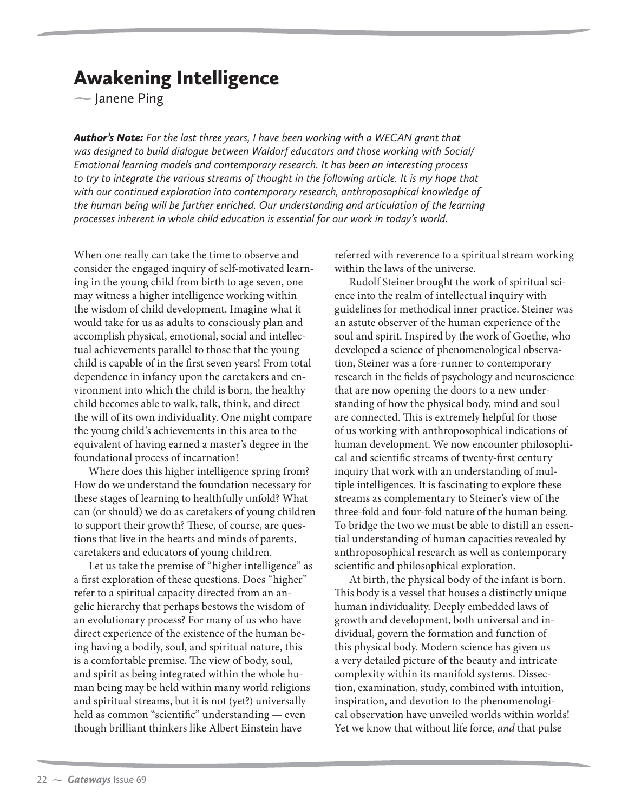amene Ping<br>
and **Ping** Janene Ping

*Author's Note: For the last three years, I have been working with a WECAN grant that was designed to build dialogue between Waldorf educators and those working with Social/ Emotional learning models and contemporary research. It has been an interesting process to try to integrate the various streams of thought in the following article. It is my hope that with our continued exploration into contemporary research, anthroposophical knowledge of the human being will be further enriched. Our understanding and articulation of the learning processes inherent in whole child education is essential for our work in today's world.*

When one really can take the time to observe and consider the engaged inquiry of self-motivated learning in the young child from birth to age seven, one may witness a higher intelligence working within the wisdom of child development. Imagine what it would take for us as adults to consciously plan and accomplish physical, emotional, social and intellectual achievements parallel to those that the young child is capable of in the first seven years! From total dependence in infancy upon the caretakers and environment into which the child is born, the healthy child becomes able to walk, talk, think, and direct the will of its own individuality. One might compare the young child's achievements in this area to the equivalent of having earned a master's degree in the foundational process of incarnation!

Where does this higher intelligence spring from? How do we understand the foundation necessary for these stages of learning to healthfully unfold? What can (or should) we do as caretakers of young children to support their growth? These, of course, are questions that live in the hearts and minds of parents, caretakers and educators of young children.

Let us take the premise of "higher intelligence" as a first exploration of these questions. Does "higher" refer to a spiritual capacity directed from an angelic hierarchy that perhaps bestows the wisdom of an evolutionary process? For many of us who have direct experience of the existence of the human being having a bodily, soul, and spiritual nature, this is a comfortable premise. The view of body, soul, and spirit as being integrated within the whole human being may be held within many world religions and spiritual streams, but it is not (yet?) universally held as common "scientific" understanding — even though brilliant thinkers like Albert Einstein have

referred with reverence to a spiritual stream working within the laws of the universe.

Rudolf Steiner brought the work of spiritual science into the realm of intellectual inquiry with guidelines for methodical inner practice. Steiner was an astute observer of the human experience of the soul and spirit. Inspired by the work of Goethe, who developed a science of phenomenological observation, Steiner was a fore-runner to contemporary research in the fields of psychology and neuroscience that are now opening the doors to a new understanding of how the physical body, mind and soul are connected. This is extremely helpful for those of us working with anthroposophical indications of human development. We now encounter philosophical and scientific streams of twenty-first century inquiry that work with an understanding of multiple intelligences. It is fascinating to explore these streams as complementary to Steiner's view of the three-fold and four-fold nature of the human being. To bridge the two we must be able to distill an essential understanding of human capacities revealed by anthroposophical research as well as contemporary scientific and philosophical exploration.

At birth, the physical body of the infant is born. This body is a vessel that houses a distinctly unique human individuality. Deeply embedded laws of growth and development, both universal and individual, govern the formation and function of this physical body. Modern science has given us a very detailed picture of the beauty and intricate complexity within its manifold systems. Dissection, examination, study, combined with intuition, inspiration, and devotion to the phenomenological observation have unveiled worlds within worlds! Yet we know that without life force, and that pulse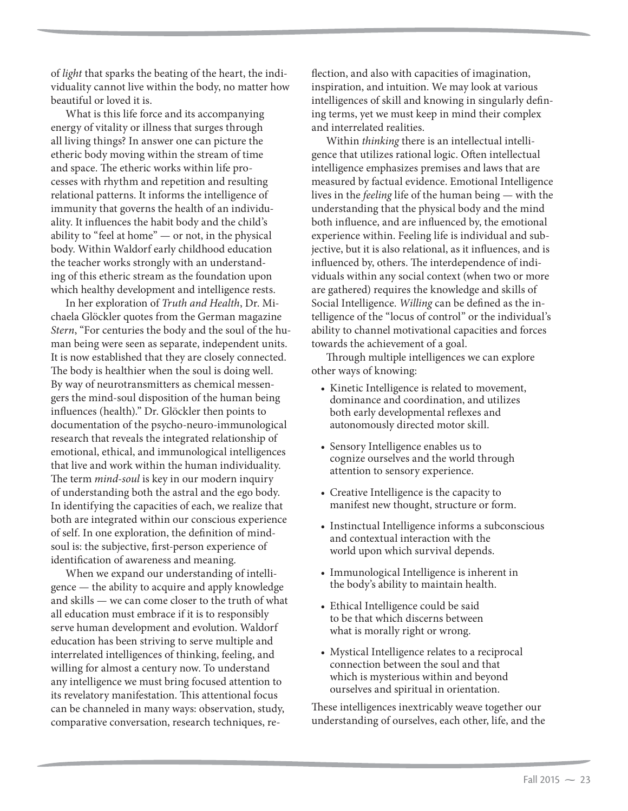of light that sparks the beating of the heart, the individuality cannot live within the body, no matter how beautiful or loved it is.

What is this life force and its accompanying energy of vitality or illness that surges through all living things? In answer one can picture the etheric body moving within the stream of time and space. The etheric works within life processes with rhythm and repetition and resulting relational patterns. It informs the intelligence of immunity that governs the health of an individuality. It influences the habit body and the child's ability to "feel at home" — or not, in the physical body. Within Waldorf early childhood education the teacher works strongly with an understanding of this etheric stream as the foundation upon which healthy development and intelligence rests.

In her exploration of Truth and Health, Dr. Michaela Glöckler quotes from the German magazine Stern, "For centuries the body and the soul of the human being were seen as separate, independent units. It is now established that they are closely connected. The body is healthier when the soul is doing well. By way of neurotransmitters as chemical messengers the mind-soul disposition of the human being influences (health)." Dr. Glöckler then points to documentation of the psycho-neuro-immunological research that reveals the integrated relationship of emotional, ethical, and immunological intelligences that live and work within the human individuality. The term mind-soul is key in our modern inquiry of understanding both the astral and the ego body. In identifying the capacities of each, we realize that both are integrated within our conscious experience of self. In one exploration, the definition of mindsoul is: the subjective, first-person experience of identification of awareness and meaning.

When we expand our understanding of intelligence — the ability to acquire and apply knowledge and skills — we can come closer to the truth of what all education must embrace if it is to responsibly serve human development and evolution. Waldorf education has been striving to serve multiple and interrelated intelligences of thinking, feeling, and willing for almost a century now. To understand any intelligence we must bring focused attention to its revelatory manifestation. This attentional focus can be channeled in many ways: observation, study, comparative conversation, research techniques, reflection, and also with capacities of imagination, inspiration, and intuition. We may look at various intelligences of skill and knowing in singularly defining terms, yet we must keep in mind their complex and interrelated realities.

Within thinking there is an intellectual intelligence that utilizes rational logic. Often intellectual intelligence emphasizes premises and laws that are measured by factual evidence. Emotional Intelligence lives in the feeling life of the human being — with the understanding that the physical body and the mind both influence, and are influenced by, the emotional experience within. Feeling life is individual and subjective, but it is also relational, as it influences, and is influenced by, others. The interdependence of individuals within any social context (when two or more are gathered) requires the knowledge and skills of Social Intelligence. Willing can be defined as the intelligence of the "locus of control" or the individual's ability to channel motivational capacities and forces towards the achievement of a goal.

Through multiple intelligences we can explore other ways of knowing:

- Kinetic Intelligence is related to movement, dominance and coordination, and utilizes both early developmental reflexes and autonomously directed motor skill.
- Sensory Intelligence enables us to cognize ourselves and the world through attention to sensory experience.
- $\bullet$  Creative Intelligence is the capacity to manifest new thought, structure or form.
- Instinctual Intelligence informs a subconscious and contextual interaction with the world upon which survival depends.
- Immunological Intelligence is inherent in the body's ability to maintain health.
- Ethical Intelligence could be said to be that which discerns between what is morally right or wrong.
- Mystical Intelligence relates to a reciprocal connection between the soul and that which is mysterious within and beyond ourselves and spiritual in orientation.

These intelligences inextricably weave together our understanding of ourselves, each other, life, and the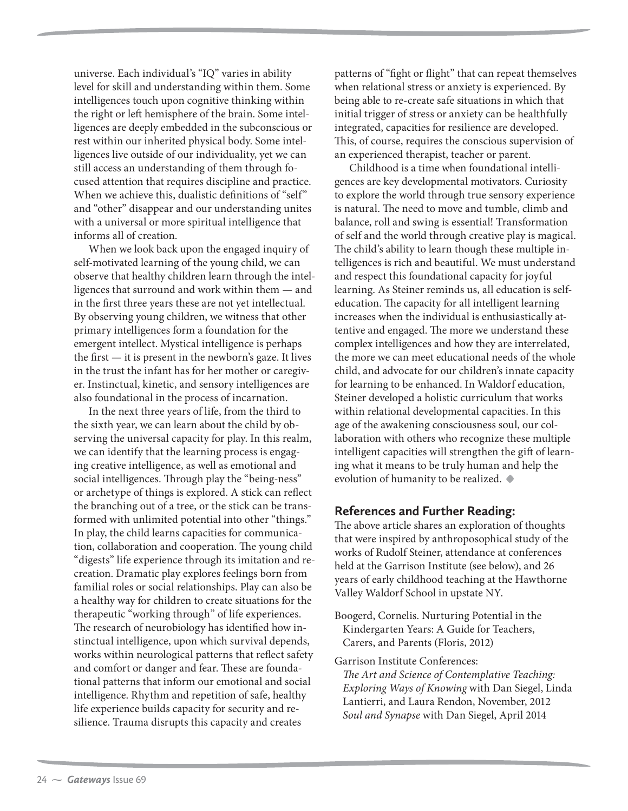universe. Each individual's "IQ" varies in ability level for skill and understanding within them. Some intelligences touch upon cognitive thinking within the right or left hemisphere of the brain. Some intelligences are deeply embedded in the subconscious or rest within our inherited physical body. Some intelligences live outside of our individuality, yet we can still access an understanding of them through focused attention that requires discipline and practice. When we achieve this, dualistic definitions of "self" and "other" disappear and our understanding unites with a universal or more spiritual intelligence that informs all of creation.

When we look back upon the engaged inquiry of self-motivated learning of the young child, we can observe that healthy children learn through the intelligences that surround and work within them — and in the first three years these are not yet intellectual. By observing young children, we witness that other primary intelligences form a foundation for the emergent intellect. Mystical intelligence is perhaps the first — it is present in the newborn's gaze. It lives in the trust the infant has for her mother or caregiver. Instinctual, kinetic, and sensory intelligences are also foundational in the process of incarnation.

In the next three years of life, from the third to the sixth year, we can learn about the child by observing the universal capacity for play. In this realm, we can identify that the learning process is engaging creative intelligence, as well as emotional and social intelligences. Through play the "being-ness" or archetype of things is explored. A stick can reflect the branching out of a tree, or the stick can be transformed with unlimited potential into other "things." In play, the child learns capacities for communication, collaboration and cooperation. The young child "digests" life experience through its imitation and recreation. Dramatic play explores feelings born from familial roles or social relationships. Play can also be a healthy way for children to create situations for the therapeutic "working through" of life experiences. The research of neurobiology has identified how instinctual intelligence, upon which survival depends, works within neurological patterns that reflect safety and comfort or danger and fear. These are foundational patterns that inform our emotional and social intelligence. Rhythm and repetition of safe, healthy life experience builds capacity for security and resilience. Trauma disrupts this capacity and creates

patterns of "fight or flight" that can repeat themselves when relational stress or anxiety is experienced. By being able to re-create safe situations in which that initial trigger of stress or anxiety can be healthfully integrated, capacities for resilience are developed. This, of course, requires the conscious supervision of an experienced therapist, teacher or parent.

Childhood is a time when foundational intelligences are key developmental motivators. Curiosity to explore the world through true sensory experience is natural. The need to move and tumble, climb and balance, roll and swing is essential! Transformation of self and the world through creative play is magical. The child's ability to learn though these multiple intelligences is rich and beautiful. We must understand and respect this foundational capacity for joyful learning. As Steiner reminds us, all education is selfeducation. The capacity for all intelligent learning increases when the individual is enthusiastically attentive and engaged. The more we understand these complex intelligences and how they are interrelated, the more we can meet educational needs of the whole child, and advocate for our children's innate capacity for learning to be enhanced. In Waldorf education, Steiner developed a holistic curriculum that works within relational developmental capacities. In this age of the awakening consciousness soul, our collaboration with others who recognize these multiple intelligent capacities will strengthen the gift of learning what it means to be truly human and help the evolution of humanity to be realized. **t**

## **References and Further Reading:**

The above article shares an exploration of thoughts that were inspired by anthroposophical study of the works of Rudolf Steiner, attendance at conferences held at the Garrison Institute (see below), and 26 years of early childhood teaching at the Hawthorne Valley Waldorf School in upstate NY.

Boogerd, Cornelis. Nurturing Potential in the Kindergarten Years: A Guide for Teachers, Carers, and Parents (Floris, 2012)

Garrison Institute Conferences: The Art and Science of Contemplative Teaching: Exploring Ways of Knowing with Dan Siegel, Linda Lantierri, and Laura Rendon, November, 2012 Soul and Synapse with Dan Siegel, April 2014